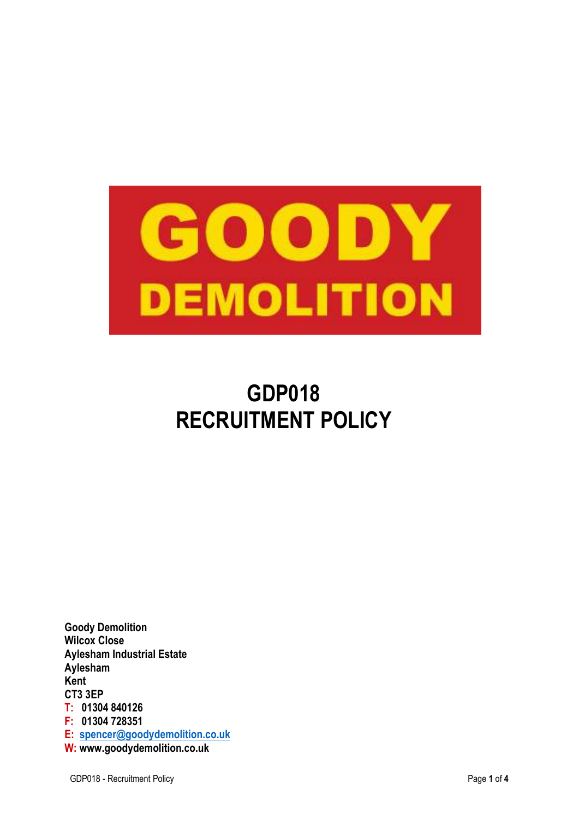

# **GDP018 RECRUITMENT POLICY**

**Goody Demolition Wilcox Close Aylesham Industrial Estate Aylesham Kent CT3 3EP T: 01304 840126 F: 01304 728351 E: spencer@goodydemolition.co.uk W: www.goodydemolition.co.uk**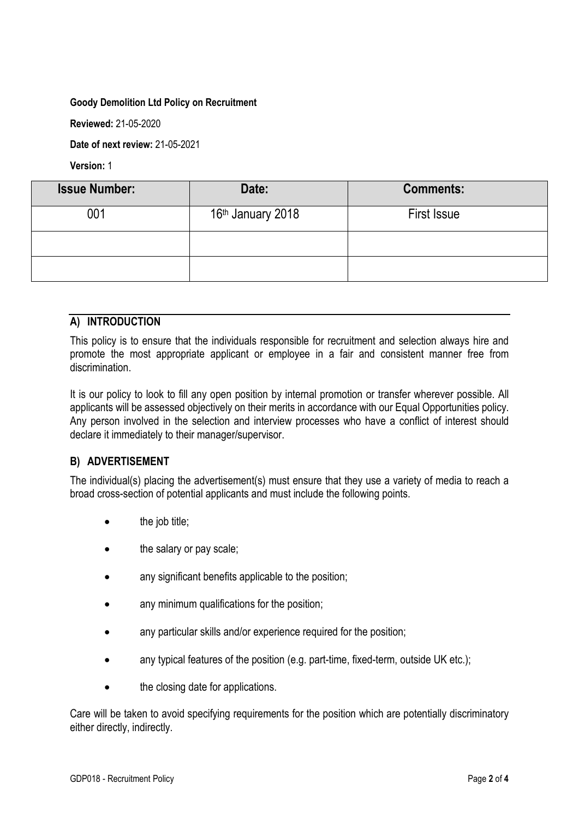#### **Goody Demolition Ltd Policy on Recruitment**

**Reviewed:** 21-05-2020

**Date of next review:** 21-05-2021

**Version:** 1

| <b>Issue Number:</b> | Date:                         | <b>Comments:</b>   |
|----------------------|-------------------------------|--------------------|
| 001                  | 16 <sup>th</sup> January 2018 | <b>First Issue</b> |
|                      |                               |                    |
|                      |                               |                    |

## **A) INTRODUCTION**

This policy is to ensure that the individuals responsible for recruitment and selection always hire and promote the most appropriate applicant or employee in a fair and consistent manner free from discrimination.

It is our policy to look to fill any open position by internal promotion or transfer wherever possible. All applicants will be assessed objectively on their merits in accordance with our Equal Opportunities policy. Any person involved in the selection and interview processes who have a conflict of interest should declare it immediately to their manager/supervisor.

# **B) ADVERTISEMENT**

The individual(s) placing the advertisement(s) must ensure that they use a variety of media to reach a broad cross-section of potential applicants and must include the following points.

- the job title;
- the salary or pay scale;
- any significant benefits applicable to the position;
- any minimum qualifications for the position;
- any particular skills and/or experience required for the position;
- any typical features of the position (e.g. part-time, fixed-term, outside UK etc.);
- the closing date for applications.

Care will be taken to avoid specifying requirements for the position which are potentially discriminatory either directly, indirectly.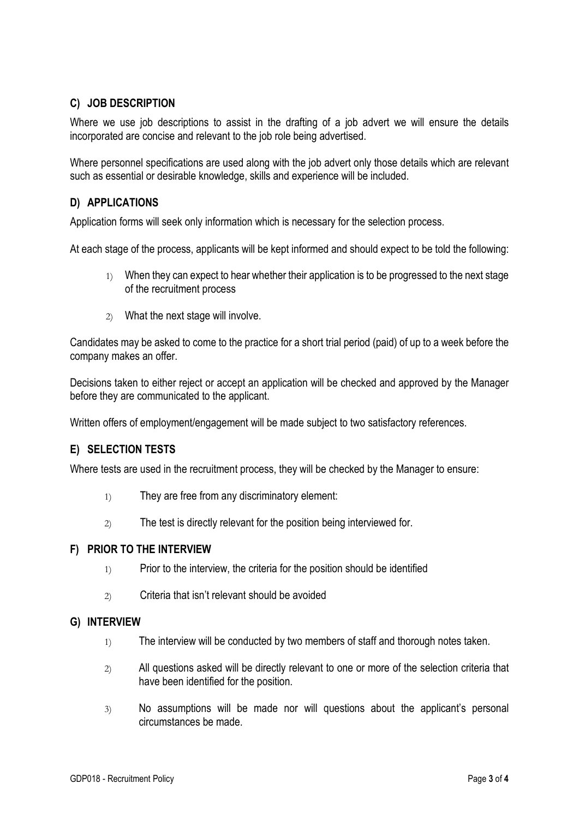# **C) JOB DESCRIPTION**

Where we use job descriptions to assist in the drafting of a job advert we will ensure the details incorporated are concise and relevant to the job role being advertised.

Where personnel specifications are used along with the job advert only those details which are relevant such as essential or desirable knowledge, skills and experience will be included.

## **D) APPLICATIONS**

Application forms will seek only information which is necessary for the selection process.

At each stage of the process, applicants will be kept informed and should expect to be told the following:

- 1) When they can expect to hear whether their application is to be progressed to the next stage of the recruitment process
- 2) What the next stage will involve.

Candidates may be asked to come to the practice for a short trial period (paid) of up to a week before the company makes an offer.

Decisions taken to either reject or accept an application will be checked and approved by the Manager before they are communicated to the applicant.

Written offers of employment/engagement will be made subject to two satisfactory references.

# **E) SELECTION TESTS**

Where tests are used in the recruitment process, they will be checked by the Manager to ensure:

- 1) They are free from any discriminatory element:
- 2) The test is directly relevant for the position being interviewed for.

#### **F) PRIOR TO THE INTERVIEW**

- 1) Prior to the interview, the criteria for the position should be identified
- 2) Criteria that isn't relevant should be avoided

#### **G) INTERVIEW**

- 1) The interview will be conducted by two members of staff and thorough notes taken.
- 2) All questions asked will be directly relevant to one or more of the selection criteria that have been identified for the position.
- 3) No assumptions will be made nor will questions about the applicant's personal circumstances be made.